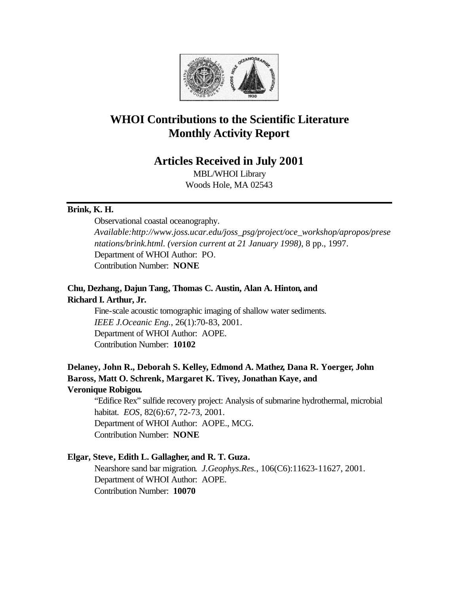

# **WHOI Contributions to the Scientific Literature Monthly Activity Report**

# **Articles Received in July 2001**

MBL/WHOI Library Woods Hole, MA 02543

### **Brink, K. H.**

Observational coastal oceanography. *Available:http://www.joss.ucar.edu/joss\_psg/project/oce\_workshop/apropos/prese ntations/brink.html. (version current at 21 January 1998)*, 8 pp., 1997. Department of WHOI Author: PO. Contribution Number: **NONE**

### **Chu, Dezhang, Dajun Tang, Thomas C. Austin, Alan A. Hinton, and Richard I. Arthur, Jr.**

Fine-scale acoustic tomographic imaging of shallow water sediments. *IEEE J.Oceanic Eng.*, 26(1):70-83, 2001. Department of WHOI Author: AOPE. Contribution Number: **10102**

## **Delaney, John R., Deborah S. Kelley, Edmond A. Mathez, Dana R. Yoerger, John Baross, Matt O. Schrenk, Margaret K. Tivey, Jonathan Kaye, and Veronique Robigou.**

"Edifice Rex" sulfide recovery project: Analysis of submarine hydrothermal, microbial habitat. *EOS*, 82(6):67, 72-73, 2001. Department of WHOI Author: AOPE., MCG. Contribution Number: **NONE**

### **Elgar, Steve, Edith L. Gallagher, and R. T. Guza.**

Nearshore sand bar migration. *J.Geophys.Res.*, 106(C6):11623-11627, 2001. Department of WHOI Author: AOPE. Contribution Number: **10070**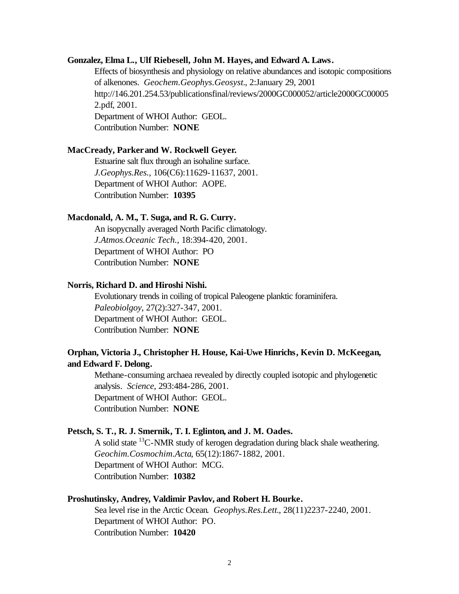#### **Gonzalez, Elma L., Ulf Riebesell, John M. Hayes, and Edward A. Laws.**

Effects of biosynthesis and physiology on relative abundances and isotopic compositions of alkenones. *Geochem.Geophys.Geosyst.*, 2:January 29, 2001 http://146.201.254.53/publicationsfinal/reviews/2000GC000052/article2000GC00005 2.pdf, 2001. Department of WHOI Author: GEOL. Contribution Number: **NONE**

#### **MacCready, Parker and W. Rockwell Geyer.**

Estuarine salt flux through an isohaline surface. *J.Geophys.Res.*, 106(C6):11629-11637, 2001. Department of WHOI Author: AOPE. Contribution Number: **10395**

#### **Macdonald, A. M., T. Suga, and R. G. Curry.**

An isopycnally averaged North Pacific climatology. *J.Atmos.Oceanic Tech.*, 18:394-420, 2001. Department of WHOI Author: PO Contribution Number: **NONE**

#### **Norris, Richard D. and Hiroshi Nishi.**

Evolutionary trends in coiling of tropical Paleogene planktic foraminifera. *Paleobiolgoy*, 27(2):327-347, 2001. Department of WHOI Author: GEOL. Contribution Number: **NONE**

### **Orphan, Victoria J., Christopher H. House, Kai-Uwe Hinrichs, Kevin D. McKeegan, and Edward F. Delong.**

Methane-consuming archaea revealed by directly coupled isotopic and phylogenetic analysis. *Science*, 293:484-286, 2001. Department of WHOI Author: GEOL. Contribution Number: **NONE**

#### **Petsch, S. T., R. J. Smernik, T. I. Eglinton, and J. M. Oades.**

A solid state  ${}^{13}C$ -NMR study of kerogen degradation during black shale weathering. *Geochim.Cosmochim.Acta*, 65(12):1867-1882, 2001. Department of WHOI Author: MCG. Contribution Number: **10382**

#### **Proshutinsky, Andrey, Valdimir Pavlov, and Robert H. Bourke.**

Sea level rise in the Arctic Ocean. *Geophys.Res.Lett.*, 28(11)2237-2240, 2001. Department of WHOI Author: PO. Contribution Number: **10420**